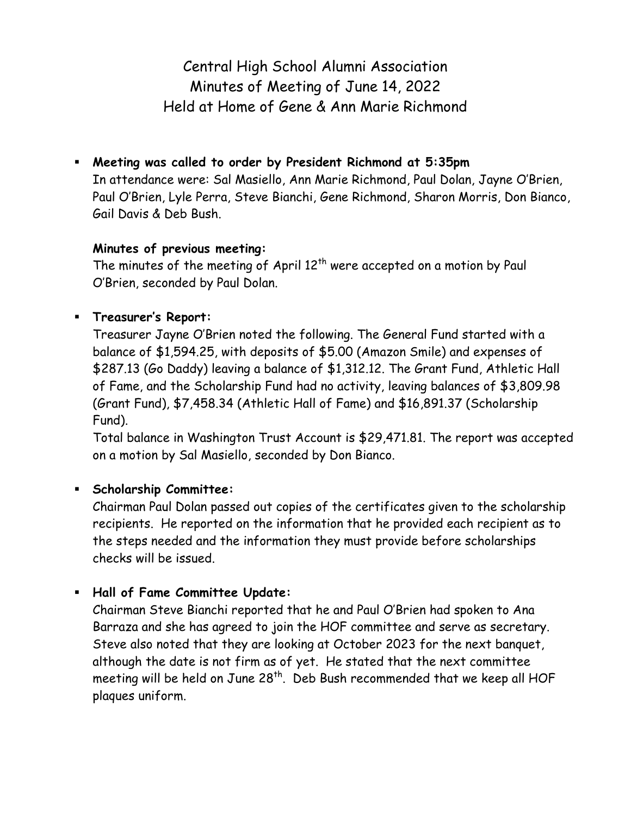Central High School Alumni Association Minutes of Meeting of June 14, 2022 Held at Home of Gene & Ann Marie Richmond

 **Meeting was called to order by President Richmond at 5:35pm** In attendance were: Sal Masiello, Ann Marie Richmond, Paul Dolan, Jayne O'Brien, Paul O'Brien, Lyle Perra, Steve Bianchi, Gene Richmond, Sharon Morris, Don Bianco, Gail Davis & Deb Bush.

#### **Minutes of previous meeting:**

The minutes of the meeting of April 12<sup>th</sup> were accepted on a motion by Paul O'Brien, seconded by Paul Dolan.

## **Treasurer's Report:**

Treasurer Jayne O'Brien noted the following. The General Fund started with a balance of \$1,594.25, with deposits of \$5.00 (Amazon Smile) and expenses of \$287.13 (Go Daddy) leaving a balance of \$1,312.12. The Grant Fund, Athletic Hall of Fame, and the Scholarship Fund had no activity, leaving balances of \$3,809.98 (Grant Fund), \$7,458.34 (Athletic Hall of Fame) and \$16,891.37 (Scholarship Fund).

Total balance in Washington Trust Account is \$29,471.81. The report was accepted on a motion by Sal Masiello, seconded by Don Bianco.

### **Scholarship Committee:**

Chairman Paul Dolan passed out copies of the certificates given to the scholarship recipients. He reported on the information that he provided each recipient as to the steps needed and the information they must provide before scholarships checks will be issued.

### **Hall of Fame Committee Update:**

Chairman Steve Bianchi reported that he and Paul O'Brien had spoken to Ana Barraza and she has agreed to join the HOF committee and serve as secretary. Steve also noted that they are looking at October 2023 for the next banquet, although the date is not firm as of yet. He stated that the next committee meeting will be held on June  $28<sup>th</sup>$ . Deb Bush recommended that we keep all HOF plaques uniform.